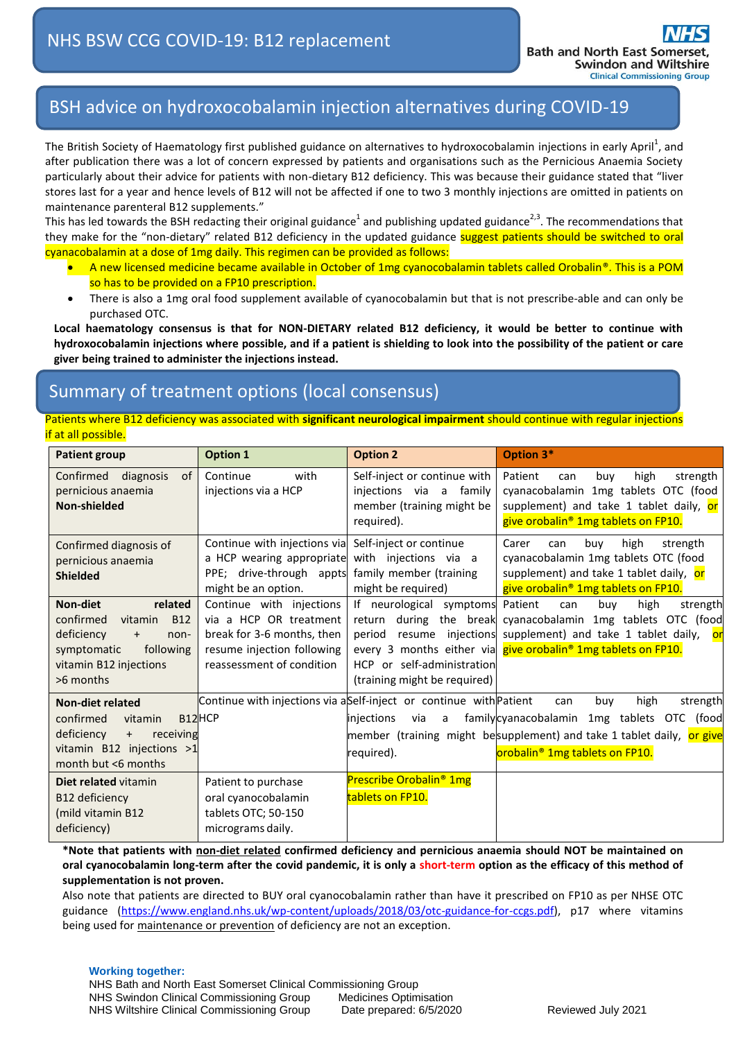## BSH advice on hydroxocobalamin injection alternatives during COVID-19

The British Society of Haematology first published guidance on alternatives to hydroxocobalamin injections in early April<sup>1</sup>, and after publication there was a lot of concern expressed by patients and organisations such as the Pernicious Anaemia Society particularly about their advice for patients with non-dietary B12 deficiency. This was because their guidance stated that "liver stores last for a year and hence levels of B12 will not be affected if one to two 3 monthly injections are omitted in patients on maintenance parenteral B12 supplements."

This has led towards the BSH redacting their original guidance<sup>1</sup> and publishing updated guidance<sup>2,3</sup>. The recommendations that they make for the "non-dietary" related B12 deficiency in the updated guidance suggest patients should be switched to oral cyanacobalamin at a dose of 1mg daily. This regimen can be provided as follows:

- A new licensed medicine became available in October of 1mg cyanocobalamin tablets called Orobalin®. This is a POM so has to be provided on a FP10 prescription.
- There is also a 1mg oral food supplement available of cyanocobalamin but that is not prescribe-able and can only be purchased OTC.

**Local haematology consensus is that for NON-DIETARY related B12 deficiency, it would be better to continue with hydroxocobalamin injections where possible, and if a patient is shielding to look into the possibility of the patient or care giver being trained to administer the injections instead.**

## Summary of treatment options (local consensus)

Patients where B12 deficiency was associated with **significant neurological impairment** should continue with regular injections if at all possible.

| <b>Patient group</b>                                                                                                                                                   | <b>Option 1</b>                                                                                                                             | <b>Option 2</b>                                                                                                              | Option 3*                                                                                                                                                                                                                            |
|------------------------------------------------------------------------------------------------------------------------------------------------------------------------|---------------------------------------------------------------------------------------------------------------------------------------------|------------------------------------------------------------------------------------------------------------------------------|--------------------------------------------------------------------------------------------------------------------------------------------------------------------------------------------------------------------------------------|
| diagnosis<br>Confirmed<br>0f<br>pernicious anaemia<br>Non-shielded                                                                                                     | Continue<br>with<br>injections via a HCP                                                                                                    | Self-inject or continue with<br>injections via<br>family<br>a<br>member (training might be<br>required).                     | Patient<br>high<br>buy<br>strength<br>can<br>cyanacobalamin 1mg tablets OTC (food<br>supplement) and take 1 tablet daily, or<br>give orobalin <sup>®</sup> 1mg tablets on FP10.                                                      |
| Confirmed diagnosis of<br>pernicious anaemia<br><b>Shielded</b>                                                                                                        | Continue with injections via Self-inject or continue<br>a HCP wearing appropriate<br>PPE; drive-through appts<br>might be an option.        | with injections via a<br>family member (training<br>might be required)                                                       | buy<br>high<br>Carer<br>strength<br>can<br>cyanacobalamin 1mg tablets OTC (food<br>supplement) and take 1 tablet daily, or<br>give orobalin <sup>®</sup> 1mg tablets on FP10.                                                        |
| <b>Non-diet</b><br>related<br>confirmed<br><b>B12</b><br>vitamin<br>deficiency<br>non-<br>$\ddot{}$<br>following<br>symptomatic<br>vitamin B12 injections<br>>6 months | Continue with injections<br>via a HCP OR treatment<br>break for 3-6 months, then<br>resume injection following<br>reassessment of condition | If neurological symptoms Patient<br>return<br>period<br>resume<br>HCP or self-administration<br>(training might be required) | buy<br>high<br>can<br>strength<br>during the break cyanacobalamin 1mg tablets OTC (food<br>injections supplement) and take 1 tablet daily,<br><b>or</b><br>every 3 months either via give orobalin <sup>®</sup> 1mg tablets on FP10. |
| <b>Non-diet related</b><br>confirmed<br>B12HCP<br>vitamin<br>deficiency<br>receiving<br>$+$<br>vitamin $B12$ injections $>1$<br>month but <6 months                    | Continue with injections via aSelf-inject or continue with Patient                                                                          | injections<br>via<br>a<br>required).                                                                                         | high<br>buy<br>strength<br>can<br>familycyanacobalamin<br>1mg tablets OTC (food<br>member (training might besupplement) and take 1 tablet daily, or give<br>orobalin <sup>®</sup> 1mg tablets on FP10.                               |
| Diet related vitamin<br>B12 deficiency<br>(mild vitamin B12<br>deficiency)                                                                                             | Patient to purchase<br>oral cyanocobalamin<br>tablets OTC; 50-150<br>micrograms daily.                                                      | <b>Prescribe Orobalin<sup>®</sup> 1mg</b><br>tablets on FP10.                                                                |                                                                                                                                                                                                                                      |

**\*Note that patients with non-diet related confirmed deficiency and pernicious anaemia should NOT be maintained on oral cyanocobalamin long-term after the covid pandemic, it is only a short-term option as the efficacy of this method of supplementation is not proven.**

Also note that patients are directed to BUY oral cyanocobalamin rather than have it prescribed on FP10 as per NHSE OTC guidance [\(https://www.england.nhs.uk/wp-content/uploads/2018/03/otc-guidance-for-ccgs.pdf\)](https://www.england.nhs.uk/wp-content/uploads/2018/03/otc-guidance-for-ccgs.pdf), p17 where vitamins being used for maintenance or prevention of deficiency are not an exception.